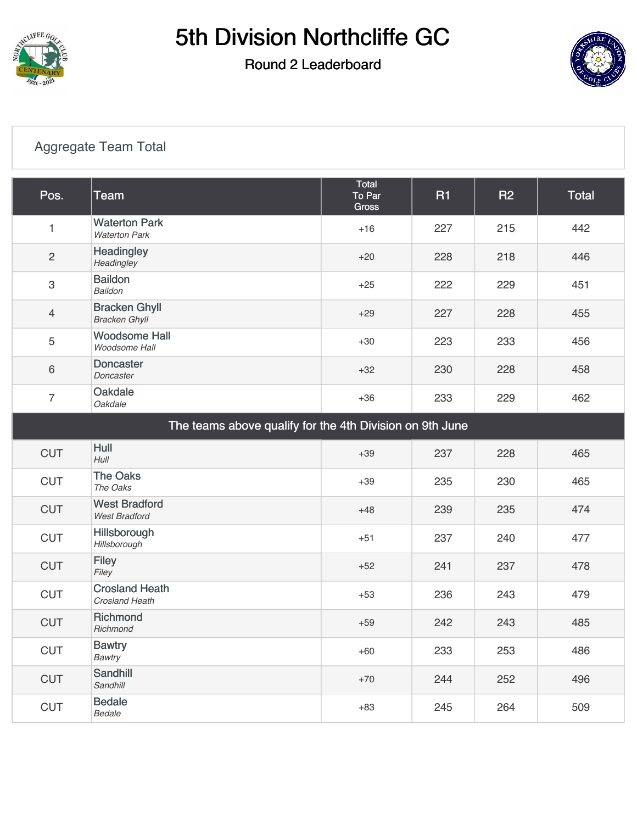

#### Round 2 Leaderboard



### [Aggregate Team Total](https://cdn2.golfgenius.com/v2tournaments/7027035016790047548?called_from=&round_index=2)

| Pos.                                                     | <b>Team</b>                                  | <b>Total</b><br>To Par<br><b>Gross</b> | <b>R1</b> | <b>R2</b> | <b>Total</b> |  |
|----------------------------------------------------------|----------------------------------------------|----------------------------------------|-----------|-----------|--------------|--|
| 1                                                        | <b>Waterton Park</b><br><b>Waterton Park</b> | $+16$                                  | 227       | 215       | 442          |  |
| $\sqrt{2}$                                               | Headingley<br>Headingley                     | $+20$                                  | 228       | 218       | 446          |  |
| $\mathbf{3}$                                             | <b>Baildon</b><br>Baildon                    | $+25$                                  | 222       | 229       | 451          |  |
| $\overline{4}$                                           | <b>Bracken Ghyll</b><br><b>Bracken Ghyll</b> | $+29$                                  | 227       | 228       | 455          |  |
| 5                                                        | <b>Woodsome Hall</b><br>Woodsome Hall        | $+30$                                  | 223       | 233       | 456          |  |
| $6\,$                                                    | <b>Doncaster</b><br>Doncaster                | $+32$                                  | 230       | 228       | 458          |  |
| $\overline{7}$                                           | Oakdale<br><b>Oakdale</b>                    | $+36$                                  | 233       | 229       | 462          |  |
| The teams above qualify for the 4th Division on 9th June |                                              |                                        |           |           |              |  |
| <b>CUT</b>                                               | Hull<br>$H$ ull                              | $+39$                                  | 237       | 228       | 465          |  |
| <b>CUT</b>                                               | <b>The Oaks</b><br>The Oaks                  | $+39$                                  | 235       | 230       | 465          |  |
| <b>CUT</b>                                               | <b>West Bradford</b><br><b>West Bradford</b> | $+48$                                  | 239       | 235       | 474          |  |
| <b>CUT</b>                                               | Hillsborough<br>Hillsborough                 | $+51$                                  | 237       | 240       | 477          |  |
| <b>CUT</b>                                               | <b>Filey</b><br>Filey                        | $+52$                                  | 241       | 237       | 478          |  |
| <b>CUT</b>                                               | <b>Crosland Heath</b><br>Crosland Heath      | $+53$                                  | 236       | 243       | 479          |  |
| <b>CUT</b>                                               | Richmond<br>Richmond                         | $+59$                                  | 242       | 243       | 485          |  |
| <b>CUT</b>                                               | <b>Bawtry</b><br><b>Bawtry</b>               | $+60$                                  | 233       | 253       | 486          |  |
| <b>CUT</b>                                               | Sandhill<br>Sandhill                         | $+70$                                  | 244       | 252       | 496          |  |
| <b>CUT</b>                                               | <b>Bedale</b><br>Bedale                      | $+83$                                  | 245       | 264       | 509          |  |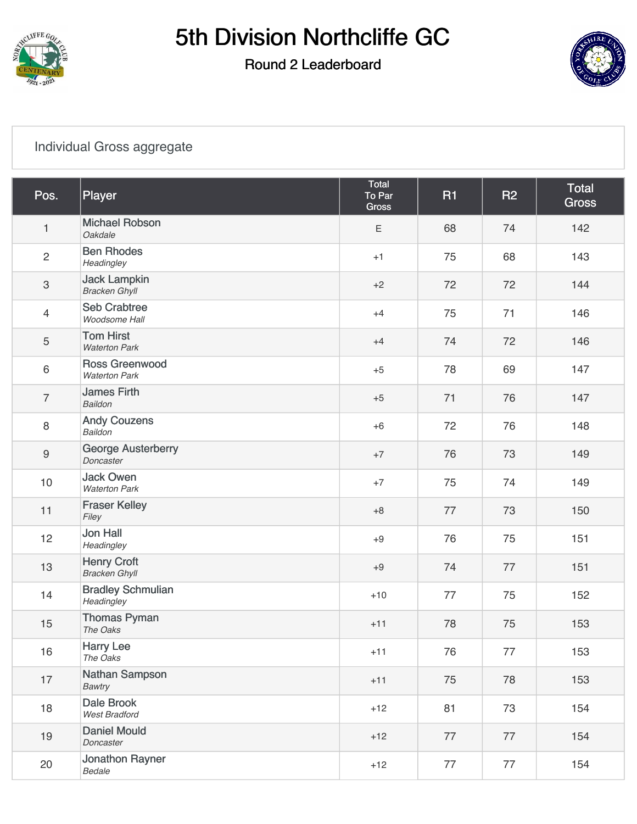

### Round 2 Leaderboard



#### [Individual Gross aggregate](https://cdn2.golfgenius.com/v2tournaments/7027035034775223103?called_from=&round_index=2)

| Pos.                      | Player                                        | Total<br>To Par<br><b>Gross</b> | <b>R1</b> | <b>R2</b> | Total<br><b>Gross</b> |
|---------------------------|-----------------------------------------------|---------------------------------|-----------|-----------|-----------------------|
| $\mathbf{1}$              | <b>Michael Robson</b><br>Oakdale              | Ε                               | 68        | 74        | 142                   |
| $\overline{c}$            | <b>Ben Rhodes</b><br>Headingley               | $+1$                            | 75        | 68        | 143                   |
| $\ensuremath{\mathsf{3}}$ | <b>Jack Lampkin</b><br><b>Bracken Ghyll</b>   | $+2$                            | 72        | 72        | 144                   |
| $\overline{4}$            | <b>Seb Crabtree</b><br>Woodsome Hall          | $+4$                            | 75        | 71        | 146                   |
| 5                         | <b>Tom Hirst</b><br><b>Waterton Park</b>      | $+4$                            | 74        | 72        | 146                   |
| $\,6\,$                   | <b>Ross Greenwood</b><br><b>Waterton Park</b> | $+5$                            | 78        | 69        | 147                   |
| $\overline{7}$            | <b>James Firth</b><br><b>Baildon</b>          | $+5$                            | 71        | 76        | 147                   |
| 8                         | <b>Andy Couzens</b><br><b>Baildon</b>         | $+6$                            | 72        | 76        | 148                   |
| $\boldsymbol{9}$          | <b>George Austerberry</b><br>Doncaster        | $+7$                            | 76        | 73        | 149                   |
| 10                        | <b>Jack Owen</b><br><b>Waterton Park</b>      | $+7$                            | 75        | 74        | 149                   |
| 11                        | <b>Fraser Kelley</b><br>Filey                 | $+8$                            | 77        | 73        | 150                   |
| 12                        | <b>Jon Hall</b><br>Headingley                 | $+9$                            | 76        | 75        | 151                   |
| 13                        | <b>Henry Croft</b><br><b>Bracken Ghyll</b>    | $+9$                            | 74        | 77        | 151                   |
| 14                        | <b>Bradley Schmulian</b><br>Headingley        | $+10$                           | 77        | 75        | 152                   |
| 15                        | <b>Thomas Pyman</b><br>The Oaks               | $+11$                           | 78        | 75        | 153                   |
| 16                        | <b>Harry Lee</b><br>The Oaks                  | $+11$                           | 76        | 77        | 153                   |
| 17                        | Nathan Sampson<br>Bawtry                      | $+11$                           | 75        | 78        | 153                   |
| 18                        | <b>Dale Brook</b><br>West Bradford            | $+12$                           | 81        | 73        | 154                   |
| 19                        | <b>Daniel Mould</b><br>Doncaster              | $+12$                           | 77        | 77        | 154                   |
| 20                        | Jonathon Rayner<br>Bedale                     | $+12$                           | 77        | 77        | 154                   |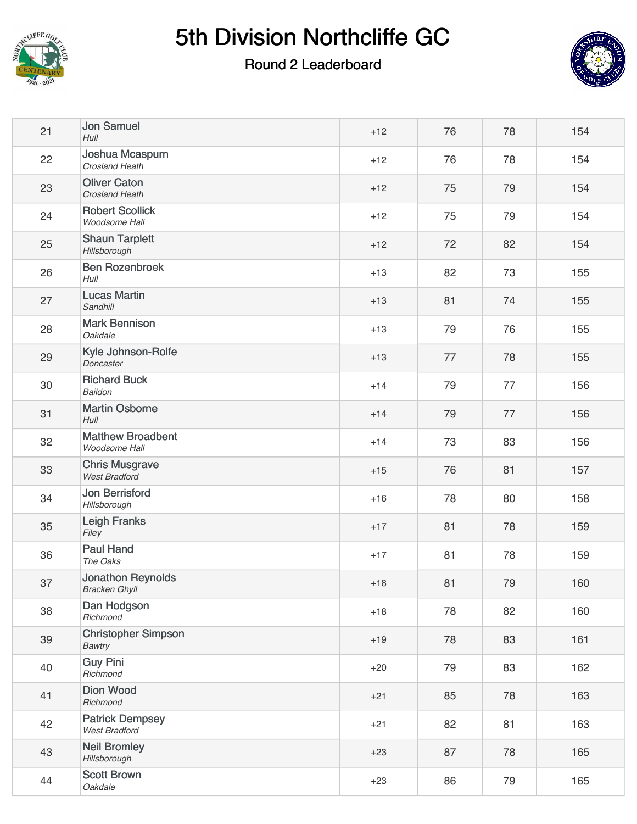

#### Round 2 Leaderboard



| 21 | <b>Jon Samuel</b><br>Hull                      | $+12$ | 76 | 78 | 154 |
|----|------------------------------------------------|-------|----|----|-----|
| 22 | Joshua Mcaspurn<br>Crosland Heath              | $+12$ | 76 | 78 | 154 |
| 23 | <b>Oliver Caton</b><br><b>Crosland Heath</b>   | $+12$ | 75 | 79 | 154 |
| 24 | <b>Robert Scollick</b><br>Woodsome Hall        | $+12$ | 75 | 79 | 154 |
| 25 | <b>Shaun Tarplett</b><br>Hillsborough          | $+12$ | 72 | 82 | 154 |
| 26 | <b>Ben Rozenbroek</b><br>Hull                  | $+13$ | 82 | 73 | 155 |
| 27 | <b>Lucas Martin</b><br>Sandhill                | $+13$ | 81 | 74 | 155 |
| 28 | <b>Mark Bennison</b><br>Oakdale                | $+13$ | 79 | 76 | 155 |
| 29 | Kyle Johnson-Rolfe<br>Doncaster                | $+13$ | 77 | 78 | 155 |
| 30 | <b>Richard Buck</b><br>Baildon                 | $+14$ | 79 | 77 | 156 |
| 31 | <b>Martin Osborne</b><br>$H$ ull               | $+14$ | 79 | 77 | 156 |
| 32 | <b>Matthew Broadbent</b><br>Woodsome Hall      | $+14$ | 73 | 83 | 156 |
| 33 | <b>Chris Musgrave</b><br><b>West Bradford</b>  | $+15$ | 76 | 81 | 157 |
| 34 | <b>Jon Berrisford</b><br>Hillsborough          | $+16$ | 78 | 80 | 158 |
| 35 | Leigh Franks<br>Filey                          | $+17$ | 81 | 78 | 159 |
| 36 | <b>Paul Hand</b><br>The Oaks                   | $+17$ | 81 | 78 | 159 |
| 37 | Jonathon Reynolds<br><b>Bracken Ghyll</b>      | $+18$ | 81 | 79 | 160 |
| 38 | Dan Hodgson<br>Richmond                        | $+18$ | 78 | 82 | 160 |
| 39 | <b>Christopher Simpson</b><br>Bawtry           | $+19$ | 78 | 83 | 161 |
| 40 | <b>Guy Pini</b><br>Richmond                    | $+20$ | 79 | 83 | 162 |
| 41 | <b>Dion Wood</b><br>Richmond                   | $+21$ | 85 | 78 | 163 |
| 42 | <b>Patrick Dempsey</b><br><b>West Bradford</b> | $+21$ | 82 | 81 | 163 |
| 43 | <b>Neil Bromley</b><br>Hillsborough            | $+23$ | 87 | 78 | 165 |
| 44 | <b>Scott Brown</b><br>Oakdale                  | $+23$ | 86 | 79 | 165 |